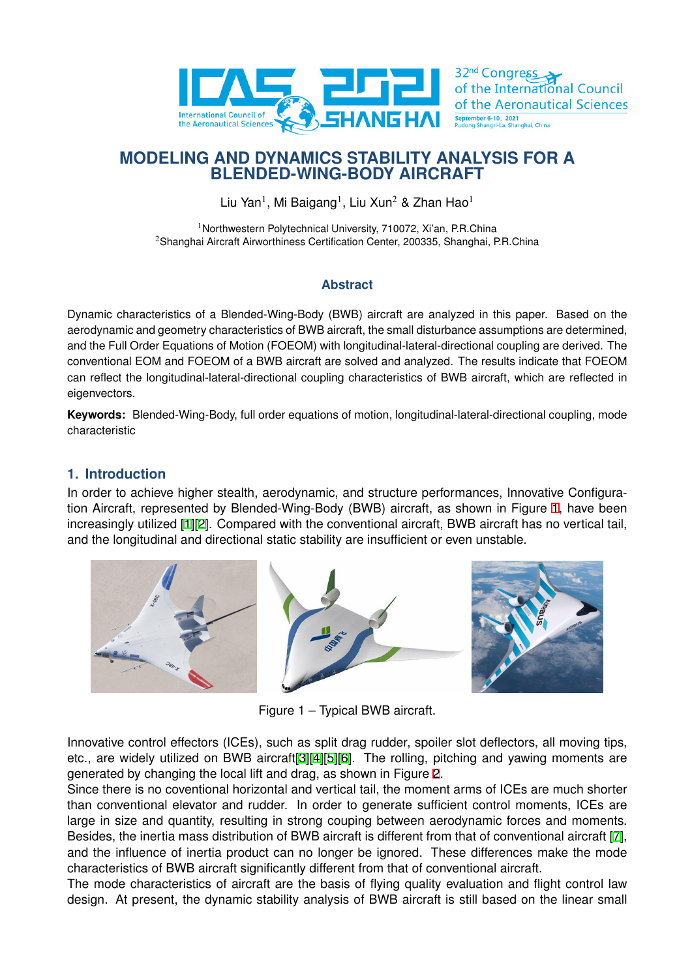

# **MODELING AND DYNAMICS STABILITY ANALYSIS FOR A BLENDED-WING-BODY AIRCRAFT**

Liu Yan<sup>1</sup>, Mi Baigang<sup>1</sup>, Liu Xun<sup>2</sup> & Zhan Hao<sup>1</sup>

<sup>1</sup>Northwestern Polytechnical University, 710072, Xi'an, P.R.China <sup>2</sup>Shanghai Aircraft Airworthiness Certification Center, 200335, Shanghai, P.R.China

## **Abstract**

Dynamic characteristics of a Blended-Wing-Body (BWB) aircraft are analyzed in this paper. Based on the aerodynamic and geometry characteristics of BWB aircraft, the small disturbance assumptions are determined, and the Full Order Equations of Motion (FOEOM) with longitudinal-lateral-directional coupling are derived. The conventional EOM and FOEOM of a BWB aircraft are solved and analyzed. The results indicate that FOEOM can reflect the longitudinal-lateral-directional coupling characteristics of BWB aircraft, which are reflected in eigenvectors.

**Keywords:** Blended-Wing-Body, full order equations of motion, longitudinal-lateral-directional coupling, mode characteristic

# **1. Introduction**

In order to achieve higher stealth, aerodynamic, and structure performances, Innovative Configuration Aircraft, represented by Blended-Wing-Body (BWB) aircraft, as shown in Figure 1, have been increasingly utilized [1][2]. Compared with the conventional aircraft, BWB aircraft has no vertical tail, and the longitudinal and directional static stability are insufficient or even unstable.



Figure 1 – Typical BWB aircraft.

Innovative control effectors (ICEs), such as split drag rudder, spoiler slot deflectors, all moving tips, etc., are widely utilized on BWB aircraft[3][4][5][6]. The rolling, pitching and yawing moments are generated by changing the local lift and drag, as shown in Figure 2.

Since there is no coventional horizontal and vertical tail, the moment arms of ICEs are much shorter than conventional elevator and rudder. In order to generate sufficient control moments, ICEs are large in size and quantity, resulting in st[ro](#page-6-0)[ng](#page-6-1) [co](#page-6-2)[up](#page-6-3)ing between aerodynamic forces and moments. Besides, the inertia mass distribution of BWB aircraft is different f[ro](#page-1-0)m that of conventional aircraft [7], and the influence of inertia product can no longer be ignored. These differences make the mode characteristics of BWB aircraft significantly different from that of conventional aircraft.

The mode characteristics of aircraft are the basis of flying quality evaluation and flight control law design. At present, the dynamic stability analysis of BWB aircraft is still based on the linear s[ma](#page-6-4)ll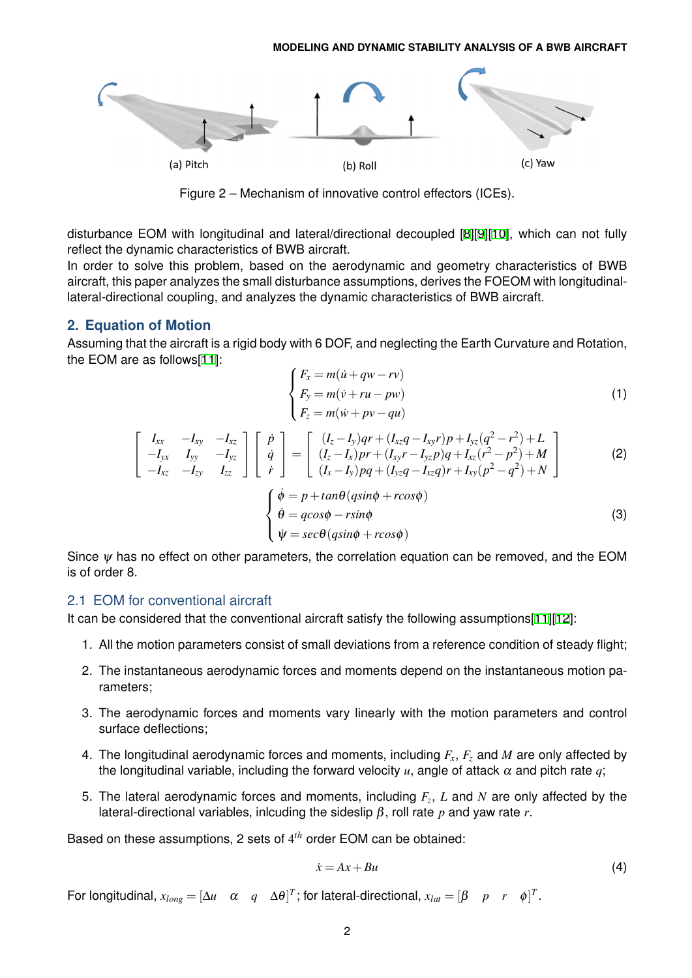<span id="page-1-0"></span>

Figure 2 – Mechanism of innovative control effectors (ICEs).

disturbance EOM with longitudinal and lateral/directional decoupled [8][9][10], which can not fully reflect the dynamic characteristics of BWB aircraft.

In order to solve this problem, based on the aerodynamic and geometry characteristics of BWB aircraft, this paper analyzes the small disturbance assumptions, derives the FOEOM with longitudinallateral-directional coupling, and analyzes the dynamic characteristics o[f](#page-6-5) [BW](#page-6-6)[B a](#page-6-7)ircraft.

### **2. Equation of Motion**

Assuming that the aircraft is a rigid body with 6 DOF, and neglecting the Earth Curvature and Rotation, the EOM are as follows[11]:

$$
\begin{cases}\nF_x = m(\dot{u} + qw - rv) \\
F_y = m(\dot{v} + ru - pw) \\
F_z = m(\dot{w} + pv - qu)\n\end{cases}
$$
\n(1)

$$
\begin{bmatrix}\nI_{xx} & -I_{xy} & -I_{xz} \\
-I_{yx} & I_{yy} & -I_{yz} \\
-I_{xz} & -I_{zy} & I_{zz}\n\end{bmatrix}\n\begin{bmatrix}\n\dot{p} \\
\dot{q} \\
\dot{r}\n\end{bmatrix} =\n\begin{bmatrix}\n(I_z - I_y)qr + (I_{xz}q - I_{xy}r)p + I_{yz}(q^2 - r^2) + L \\
(I_z - I_x)pr + (I_{xy}r - I_{yz}p)q + I_{xz}(r^2 - p^2) + M \\
(I_x - I_y)pq + (I_{yz}q - I_{xz}q)r + I_{xy}(p^2 - q^2) + N\n\end{bmatrix}
$$
\n(2)

$$
\begin{cases}\n\dot{\phi} = p + \tan\theta(q\sin\phi + r\cos\phi) \\
\dot{\theta} = q\cos\phi - r\sin\phi \\
\dot{\psi} = \sec\theta(q\sin\phi + r\cos\phi)\n\end{cases}
$$
\n(3)

Since  $\psi$  has no effect on other parameters, the correlation equation can be removed, and the EOM is of order 8.

## 2.1 EOM for conventional aircraft

It can be considered that the conventional aircraft satisfy the following assumptions[11][12]:

- 1. All the motion parameters consist of small deviations from a reference condition of steady flight;
- 2. The instantaneous aerodynamic forces and moments depend on the instanta[neo](#page-6-8)[us m](#page-6-9)otion parameters;
- 3. The aerodynamic forces and moments vary linearly with the motion parameters and control surface deflections;
- 4. The longitudinal aerodynamic forces and moments, including *Fx*, *F<sup>z</sup>* and *M* are only affected by the longitudinal variable, including the forward velocity  $u$ , angle of attack  $\alpha$  and pitch rate  $q$ ;
- 5. The lateral aerodynamic forces and moments, including *F<sup>z</sup>* , *L* and *N* are only affected by the lateral-directional variables, inlcuding the sideslip β, roll rate *p* and yaw rate *r*.

Based on these assumptions, 2 sets of 4 *th* order EOM can be obtained:

$$
\dot{x} = Ax + Bu \tag{4}
$$

For longitudinal,  $x_{long} = [\Delta u \quad \alpha \quad q \quad \Delta \theta]^T$ ; for lateral-directional,  $x_{lat} = [\beta \quad p \quad r \quad \phi]^T$ .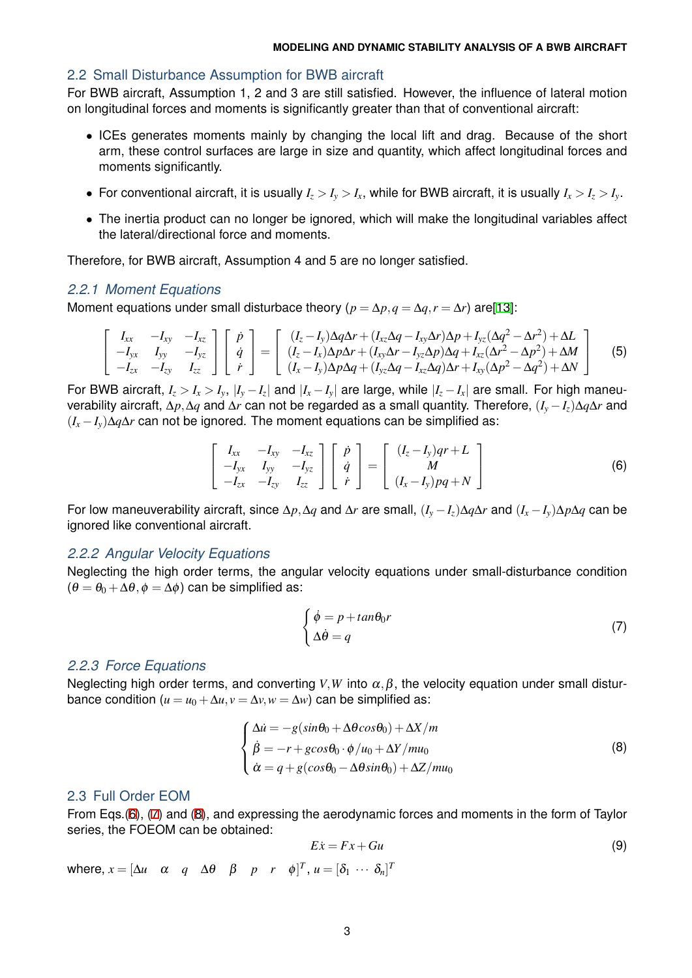#### 2.2 Small Disturbance Assumption for BWB aircraft

For BWB aircraft, Assumption 1, 2 and 3 are still satisfied. However, the influence of lateral motion on longitudinal forces and moments is significantly greater than that of conventional aircraft:

- *•* ICEs generates moments mainly by changing the local lift and drag. Because of the short arm, these control surfaces are large in size and quantity, which affect longitudinal forces and moments significantly.
- For conventional aircraft, it is usually  $I_z > I_v > I_x$ , while for BWB aircraft, it is usually  $I_x > I_z > I_v$ .
- *•* The inertia product can no longer be ignored, which will make the longitudinal variables affect the lateral/directional force and moments.

Therefore, for BWB aircraft, Assumption 4 and 5 are no longer satisfied.

### *2.2.1 Moment Equations*

Moment equations under small disturbace theory ( $p = \Delta p$ ,  $q = \Delta q$ ,  $r = \Delta r$ ) are[13]:

$$
\begin{bmatrix}\nI_{xx} & -I_{xy} & -I_{xz} \\
-I_{yx} & I_{yy} & -I_{yz} \\
-I_{zx} & -I_{zy} & I_{zz}\n\end{bmatrix}\n\begin{bmatrix}\n\dot{p} \\
\dot{q} \\
\dot{r}\n\end{bmatrix} =\n\begin{bmatrix}\n(I_z - I_y)\Delta q\Delta r + (I_{xz}\Delta q - I_{xy}\Delta r)\Delta p + I_{yz}(\Delta q^2 - \Delta r^2) + \Delta L \\
(I_z - I_x)\Delta p\Delta r + (I_{xy}\Delta r - I_{yz}\Delta p)\Delta q + I_{xz}(\Delta r^2 - \Delta p^2) + \Delta M \\
(I_x - I_y)\Delta p\Delta q + (I_{yz}\Delta q - I_{xz}\Delta q)\Delta r + I_{xy}(\Delta p^2 - \Delta q^2) + \Delta N\n\end{bmatrix}
$$
\n(5)

For BWB aircraft,  $I_z > I_x > I_y$ ,  $|I_y - I_z|$  and  $|I_x - I_y|$  are large, while  $|I_z - I_x|$  are small. For high maneuverability aircraft, ∆*p,*∆*q* and ∆*r* can not be regarded as a small quantity. Therefore, (*I<sup>y</sup> −Iz*)∆*q*∆*r* and  $(I_x - I_y)\Delta q\Delta r$  can not be ignored. The moment equations can be simplified as:

$$
\begin{bmatrix}\nI_{xx} & -I_{xy} & -I_{xz} \\
-I_{yx} & I_{yy} & -I_{yz} \\
-I_{zx} & -I_{zy} & I_{zz}\n\end{bmatrix}\n\begin{bmatrix}\n\dot{p} \\
\dot{q} \\
\dot{r}\n\end{bmatrix} =\n\begin{bmatrix}\n(I_z - I_y)qr + L \\
M \\
(I_x - I_y)pq + N\n\end{bmatrix}
$$
\n(6)

For low maneuverability aircraft, since  $\Delta p$ ,  $\Delta q$  and  $\Delta r$  are small,  $(I_v - I_z) \Delta q \Delta r$  and  $(I_x - I_v) \Delta p \Delta q$  can be ignored like conventional aircraft.

#### *2.2.2 Angular Velocity Equations*

Neglecting the high order terms, the angular velocity equations under small-disturbance condition  $(\theta = \theta_0 + \Delta\theta, \phi = \Delta\phi)$  can be simplified as:

<span id="page-2-0"></span>
$$
\begin{cases}\n\dot{\phi} = p + \tan \theta_0 r \\
\Delta \dot{\theta} = q\n\end{cases}
$$
\n(7)

#### *2.2.3 Force Equations*

Neglecting high order terms, and converting  $V, W$  into  $\alpha, \beta$ , the velocity equation under small disturbance condition ( $u = u_0 + \Delta u$ ,  $v = \Delta v$ ,  $w = \Delta w$ ) can be simplified as:

$$
\begin{cases}\n\Delta \dot{u} = -g(\sin \theta_0 + \Delta \theta \cos \theta_0) + \Delta X/m \\
\dot{\beta} = -r + g \cos \theta_0 \cdot \phi / u_0 + \Delta Y / m u_0 \\
\dot{\alpha} = q + g(\cos \theta_0 - \Delta \theta \sin \theta_0) + \Delta Z / m u_0\n\end{cases}
$$
\n(8)

### 2.3 Full Order EOM

From Eqs.(6), (7) and (8), and expressing the aerodynamic forces and moments in the form of Taylor series, the FOEOM can be obtained:

<span id="page-2-1"></span>
$$
Ex = Fx + Gu \tag{9}
$$

where,  $x = [\Delta u \quad \alpha \quad q \quad \Delta \theta \quad \beta \quad p \quad r \quad \phi]^T$  $x = [\Delta u \quad \alpha \quad q \quad \Delta \theta \quad \beta \quad p \quad r \quad \phi]^T$  $x = [\Delta u \quad \alpha \quad q \quad \Delta \theta \quad \beta \quad p \quad r \quad \phi]^T$ ,  $u = [\delta_1 \ \cdots \ \delta_n]^T$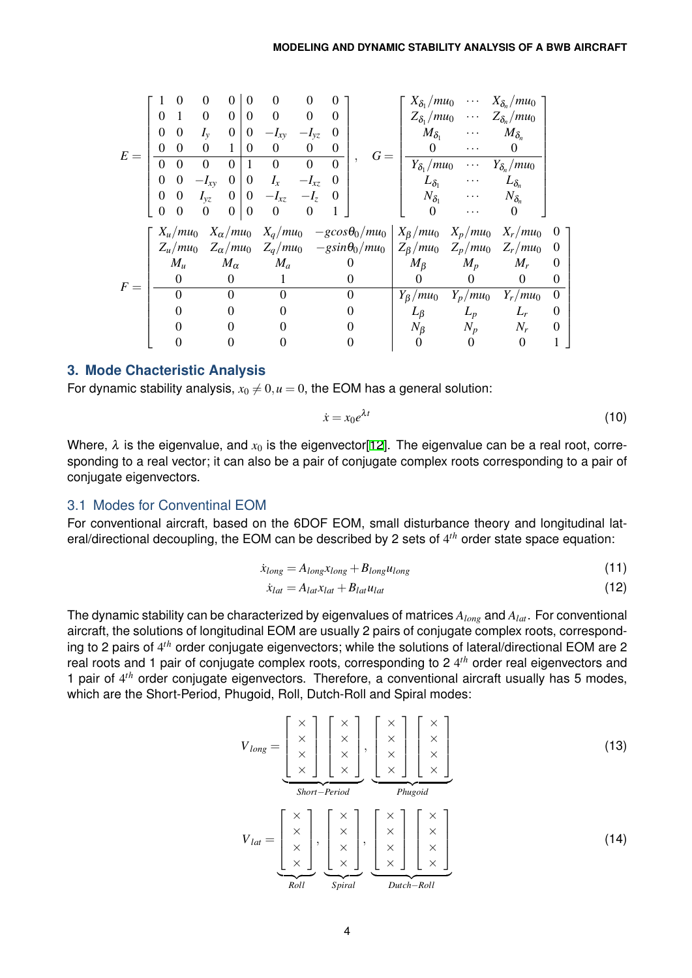| $E =$ |                  | $\theta$                   | 0           | $\theta$                           | $\Omega$       | 0                | $\Omega$       | 0                               |                                 |                             | $X_{\delta_1}/mu_0 \cdots$                        | $X_{\delta_n}/mu_0$                    |                  |
|-------|------------------|----------------------------|-------------|------------------------------------|----------------|------------------|----------------|---------------------------------|---------------------------------|-----------------------------|---------------------------------------------------|----------------------------------------|------------------|
|       | 0                | 1                          |             | $\overline{0}$                     | $\Omega$       | $\Omega$         | $\Omega$       | $\Omega$                        |                                 | $Z_{\delta_1}/mu_0$         | $\bullet$ $\bullet$ $\bullet$ $\bullet$ $\bullet$ | $Z_{\delta_n}/mu_0$                    |                  |
|       | 0                | $\overline{0}$             | $I_{\rm v}$ | $\boldsymbol{0}$<br>1              | $\overline{0}$ | $-I_{xy}$        | $-I_{yz}$      | $\theta$                        |                                 | $M_{\delta_1}$              | $\cdots$                                          | $M_{\delta_n}$                         |                  |
|       | 0                | $\Omega$                   | $\Omega$    |                                    | $\Omega$       | $\boldsymbol{0}$ | $\theta$       | 0                               | $G =$                           | $\Omega$                    | .                                                 | 0                                      |                  |
|       | $\Omega$         | $\Omega$                   |             | $\boldsymbol{0}$<br>$\overline{0}$ | $\mathbf{1}$   | $\boldsymbol{0}$ | $\overline{0}$ | $\Omega$                        |                                 | $Y_{\delta_1}/mu_0$         | $\cdots$                                          | $Y_{\delta_n}/mu_0$                    |                  |
|       | 0                | $\theta$                   | $-I_{xy}$   | $\overline{0}$                     | $\mathbf{0}$   | $I_x$            | $-I_{xz}$      | $\theta$                        |                                 | $L_{\delta_1}$              | $\cdots$                                          | $L_{\delta_n}$                         |                  |
|       | 0                | $\theta$                   |             | $\mathbf{0}$<br>$I_{\nu z}$        | $\overline{0}$ | $-I_{xz}$        | $-I_z$         | $\theta$                        |                                 | $N_{\delta_1}$              | .                                                 | $N_{\delta_n}$                         |                  |
|       | $\boldsymbol{0}$ | $\Omega$                   | $\Omega$    | $\overline{0}$                     | $\overline{0}$ | $\Omega$         | $\Omega$       |                                 |                                 | $\Omega$                    | .                                                 | $\Omega$                               |                  |
| $F =$ |                  | $X_u/mu_0$                 |             | $X_{\alpha}/mu_0$                  |                |                  |                | $X_q/mu_0$ $-gcos\theta_0/mu_0$ |                                 | $X_{\beta}/mu_0$ $X_p/mu_0$ |                                                   | $X_r/mu_0$                             | $\theta$         |
|       |                  | $Z_u/mu_0$ $Z_\alpha/mu_0$ |             |                                    |                |                  |                |                                 | $Z_q/mu_0 - g\sin\theta_0/mu_0$ |                             |                                                   | $Z_{\beta}/mu_0$ $Z_p/mu_0$ $Z_r/mu_0$ | 0                |
|       |                  | $M_u$                      |             | $M_{\alpha}$                       |                | $M_a$            |                |                                 | $\theta$                        | $M_{\beta}$                 | $\boldsymbol{M_p}$                                | $M_r$                                  | 0                |
|       |                  | $\theta$                   |             | $\theta$                           |                |                  |                |                                 |                                 | $\Omega$                    | $\theta$                                          | $\theta$                               | $\Omega$         |
|       |                  |                            |             | $\Omega$                           |                |                  |                | $\theta$                        |                                 | $Y_{\beta}/mu_0$            | $Y_p/mu_0$                                        | $Y_r/mu_0$                             | $\boldsymbol{0}$ |
|       |                  |                            |             |                                    |                |                  |                |                                 |                                 | $L_{\beta}$                 | $L_p$                                             | $L_r$                                  | 0                |
|       |                  |                            |             |                                    |                |                  |                |                                 |                                 |                             |                                                   |                                        |                  |
|       |                  |                            |             |                                    |                |                  |                |                                 |                                 | $N_{\beta}$                 | $N_p$                                             | $N_r$                                  | $\overline{0}$   |

### **3. Mode Chacteristic Analysis**

For dynamic stability analysis,  $x_0 \neq 0, u = 0$ , the EOM has a general solution:

$$
\dot{x} = x_0 e^{\lambda t} \tag{10}
$$

Where,  $\lambda$  is the eigenvalue, and  $x_0$  is the eigenvector [12]. The eigenvalue can be a real root, corresponding to a real vector; it can also be a pair of conjugate complex roots corresponding to a pair of conjugate eigenvectors.

### 3.1 Modes for Conventinal EOM

For conventional aircraft, based on the 6DOF EOM, small disturbance theory and longitudinal lateral/directional decoupling, the EOM can be described by 2 sets of 4 *th* order state space equation:

$$
\dot{x}_{long} = A_{long}x_{long} + B_{long}u_{long} \tag{11}
$$

$$
\dot{x}_{lat} = A_{lat}x_{lat} + B_{lat}u_{lat} \tag{12}
$$

The dynamic stability can be characterized by eigenvalues of matrices *Along* and *Alat*. For conventional aircraft, the solutions of longitudinal EOM are usually 2 pairs of conjugate complex roots, corresponding to 2 pairs of 4 *th* order conjugate eigenvectors; while the solutions of lateral/directional EOM are 2 real roots and 1 pair of conjugate complex roots, corresponding to 2 4<sup>th</sup> order real eigenvectors and 1 pair of 4 *th* order conjugate eigenvectors. Therefore, a conventional aircraft usually has 5 modes, which are the Short-Period, Phugoid, Roll, Dutch-Roll and Spiral modes:

$$
V_{long} = \underbrace{\begin{bmatrix} x \\ x \\ x \\ x \end{bmatrix} \begin{bmatrix} x \\ x \\ x \\ x \end{bmatrix}}_{\text{Short-Period}} , \underbrace{\begin{bmatrix} x \\ x \\ x \\ x \end{bmatrix} \begin{bmatrix} x \\ x \\ x \\ x \end{bmatrix}}_{\text{Phugoid}} \times \underbrace{\begin{bmatrix} x \\ x \\ x \\ x \end{bmatrix}}_{\text{Rult}} \tag{13}
$$
\n
$$
V_{lat} = \underbrace{\begin{bmatrix} x \\ x \\ x \\ x \end{bmatrix}}_{\text{Roll}} , \underbrace{\begin{bmatrix} x \\ x \\ x \\ x \end{bmatrix}}_{\text{Spiral}} , \underbrace{\begin{bmatrix} x \\ x \\ x \\ x \end{bmatrix} \begin{bmatrix} x \\ x \\ x \\ x \end{bmatrix}}_{\text{Dutch-Roll}} \tag{14}
$$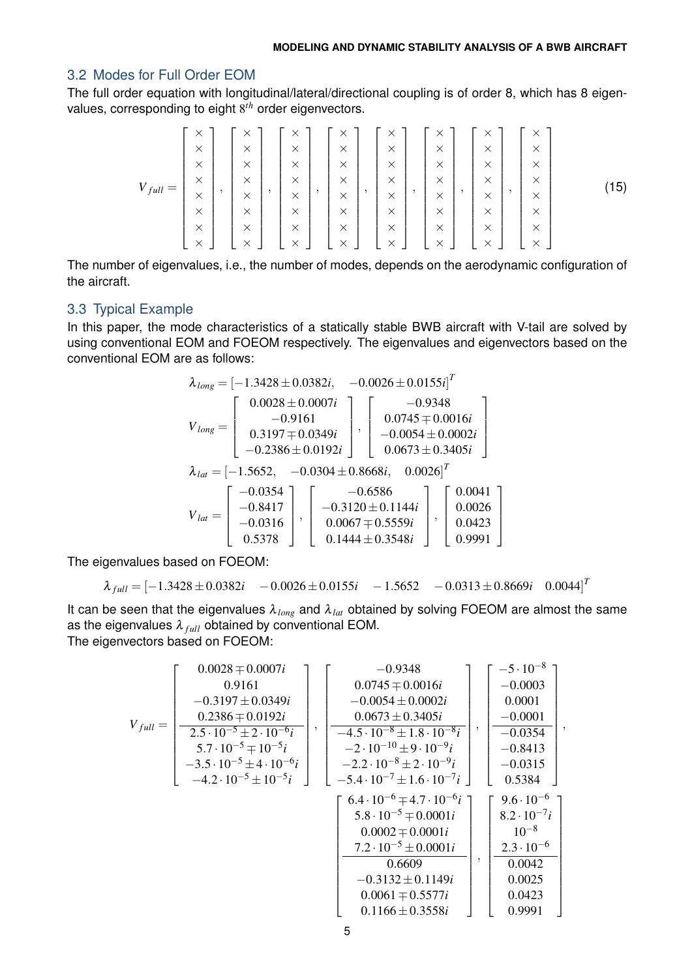## 3.2 Modes for Full Order EOM

The full order equation with longitudinal/lateral/directional coupling is of order 8, which has 8 eigenvalues, corresponding to eight 8 *th* order eigenvectors.

$$
V_{full} = \begin{bmatrix} \times \\ \times \\ \times \\ \times \\ \times \\ \times \\ \times \\ \times \\ \times \\ \times \end{bmatrix}, \begin{bmatrix} \times \\ \times \\ \times \\ \times \\ \times \\ \times \\ \times \\ \times \\ \times \\ \times \end{bmatrix}, \begin{bmatrix} \times \\ \times \\ \times \\ \times \\ \times \\ \times \\ \times \\ \times \\ \times \\ \times \end{bmatrix}, \begin{bmatrix} \times \\ \times \\ \times \\ \times \\ \times \\ \times \\ \times \\ \times \\ \times \\ \times \end{bmatrix}, \begin{bmatrix} \times \\ \times \\ \times \\ \times \\ \times \\ \times \\ \times \\ \times \\ \times \\ \times \end{bmatrix}, \begin{bmatrix} \times \\ \times \\ \times \\ \times \\ \times \\ \times \\ \times \\ \times \\ \times \\ \times \end{bmatrix}, \begin{bmatrix} \times \\ \times \\ \times \\ \times \\ \times \\ \times \\ \times \\ \times \\ \times \end{bmatrix}, \begin{bmatrix} \times \\ \times \\ \times \\ \times \\ \times \\ \times \\ \times \\ \times \\ \times \end{bmatrix}, \begin{bmatrix} \times \\ \times \\ \times \\ \times \\ \times \\ \times \\ \times \\ \times \end{bmatrix}, \begin{bmatrix} \times \\ \times \\ \times \\ \times \\ \times \\ \times \\ \times \\ \times \end{bmatrix}, \begin{bmatrix} \times \\ \times \\ \times \\ \times \\ \times \\ \times \\ \times \end{bmatrix}, \begin{bmatrix} \times \\ \times \\ \times \\ \times \\ \times \\ \times \\ \times \end{bmatrix}
$$
\n(15)

The number of eigenvalues, i.e., the number of modes, depends on the aerodynamic configuration of the aircraft.

## 3.3 Typical Example

In this paper, the mode characteristics of a statically stable BWB aircraft with V-tail are solved by using conventional EOM and FOEOM respectively. The eigenvalues and eigenvectors based on the conventional EOM are as follows:

$$
\lambda_{long} = \begin{bmatrix} -1.3428 \pm 0.0382i, & -0.0026 \pm 0.0155i \end{bmatrix}^T
$$

$$
V_{long} = \begin{bmatrix} 0.0028 \pm 0.0007i \\ -0.9161 \\ 0.3197 \mp 0.0349i \\ -0.2386 \pm 0.0192i \end{bmatrix}, \begin{bmatrix} -0.9348 \\ 0.0745 \mp 0.0016i \\ -0.0054 \pm 0.0002i \\ 0.0673 \pm 0.3405i \end{bmatrix}
$$

$$
\lambda_{lat} = \begin{bmatrix} -1.5652, & -0.0304 \pm 0.8668i, & 0.0026 \end{bmatrix}^T
$$

$$
V_{lat} = \begin{bmatrix} -0.0354 \\ -0.8417 \\ -0.0316 \\ 0.5378 \end{bmatrix}, \begin{bmatrix} -0.6586 \\ -0.3120 \pm 0.1144i \\ 0.0067 \mp 0.5559i \\ 0.1444 \pm 0.3548i \end{bmatrix}, \begin{bmatrix} 0.0041 \\ 0.00423 \\ 0.9991 \end{bmatrix}
$$

The eigenvalues based on FOEOM:

$$
\lambda_{full} = [-1.3428 \pm 0.0382i \quad -0.0026 \pm 0.0155i \quad -1.5652 \quad -0.0313 \pm 0.8669i \quad 0.0044]^{T}
$$

It can be seen that the eigenvalues  $\lambda_{long}$  and  $\lambda_{lat}$  obtained by solving FOEOM are almost the same as the eigenvalues  $\lambda_{full}$  obtained by conventional EOM. The eigenvectors based on FOEOM:

$$
V_{full} = \begin{bmatrix} 0.0028 \mp 0.0007i \\ 0.9161 \\ -0.3197 \pm 0.0349i \\ 0.2386 \mp 0.0192i \\ 5.7 \cdot 10^{-5} \pm 2 \cdot 10^{-6}i \\ -4.2 \cdot 10^{-5} \pm 10^{-5}i \\ -4.2 \cdot 10^{-5} \pm 10^{-5}i \end{bmatrix}, \begin{bmatrix} -0.9348 \\ 0.0745 \mp 0.0016i \\ -0.0054 \pm 0.0002i \\ 0.0673 \pm 0.3405i \\ -4.5 \cdot 10^{-8} \pm 1.8 \cdot 10^{-8}i \\ -2 \cdot 10^{-10} \pm 9 \cdot 10^{-9}i \\ -2.2 \cdot 10^{-8} \pm 2 \cdot 10^{-9}i \\ -5.4 \cdot 10^{-7} \pm 1.6 \cdot 10^{-7}i \end{bmatrix}, \begin{bmatrix} -5 \cdot 10^{-8} \\ -0.0001 \\ -0.0354 \\ -0.0315 \\ -0.0315 \\ 0.5384 \\ 0.0315 \\ 0.5384 \end{bmatrix}, \\ \begin{bmatrix} 6.4 \cdot 10^{-6} \mp 4.7 \cdot 10^{-6}i \\ -5.4 \cdot 10^{-7} \pm 1.6 \cdot 10^{-7}i \\ -5.4 \cdot 10^{-7} \pm 1.6 \cdot 10^{-7}i \end{bmatrix} \begin{bmatrix} 9.6 \cdot 10^{-6} \\ 8.2 \cdot 10^{-7}i \\ 0.5384 \\ 10^{-8} \\ 0.0042 \\ 0.0042 \\ -0.3132 \pm 0.1149i \\ 0.0004 \pm 0.5577i \\ 0.00423 \\ 0.1166 \pm 0.3558i \end{bmatrix}, \begin{bmatrix} 9.6 \cdot 10^{-6} \\ 8.2 \cdot 10^{-7}i \\ 0.0423 \\ 0.0423 \\ 0.0423 \\ 0.9991 \end{bmatrix}
$$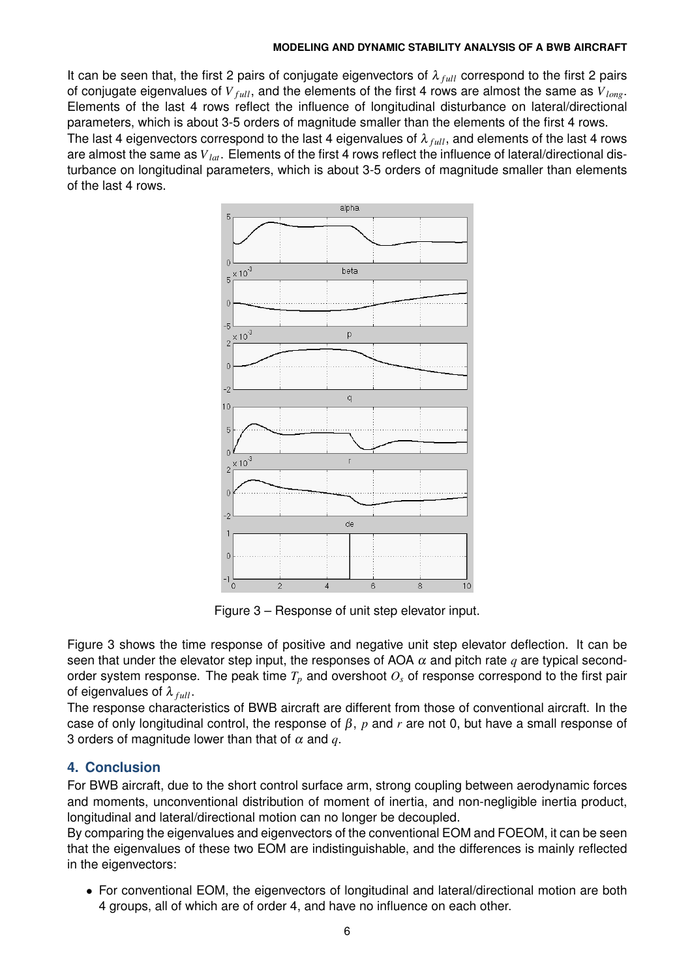#### **MODELING AND DYNAMIC STABILITY ANALYSIS OF A BWB AIRCRAFT**

It can be seen that, the first 2 pairs of conjugate eigenvectors of  $\lambda_{full}$  correspond to the first 2 pairs of conjugate eigenvalues of  $V_{full}$ , and the elements of the first 4 rows are almost the same as  $V_{long}$ . Elements of the last 4 rows reflect the influence of longitudinal disturbance on lateral/directional parameters, which is about 3-5 orders of magnitude smaller than the elements of the first 4 rows. The last 4 eigenvectors correspond to the last 4 eigenvalues of  $\lambda_{full}$ , and elements of the last 4 rows are almost the same as *Vlat*. Elements of the first 4 rows reflect the influence of lateral/directional disturbance on longitudinal parameters, which is about 3-5 orders of magnitude smaller than elements of the last 4 rows.



Figure 3 – Response of unit step elevator input.

Figure 3 shows the time response of positive and negative unit step elevator deflection. It can be seen that under the elevator step input, the responses of AOA  $\alpha$  and pitch rate  $q$  are typical secondorder system response. The peak time  $T_p$  and overshoot  $O_s$  of response correspond to the first pair of eigenvalues of  $\lambda_{full}$ .

The response characteristics of BWB aircraft are different from those of conventional aircraft. In the case of only longitudinal control, the response of β, *p* and *r* are not 0, but have a small response of 3 orders of magnitude lower than that of  $\alpha$  and  $q$ .

# **4. Conclusion**

For BWB aircraft, due to the short control surface arm, strong coupling between aerodynamic forces and moments, unconventional distribution of moment of inertia, and non-negligible inertia product, longitudinal and lateral/directional motion can no longer be decoupled.

By comparing the eigenvalues and eigenvectors of the conventional EOM and FOEOM, it can be seen that the eigenvalues of these two EOM are indistinguishable, and the differences is mainly reflected in the eigenvectors:

*•* For conventional EOM, the eigenvectors of longitudinal and lateral/directional motion are both 4 groups, all of which are of order 4, and have no influence on each other.